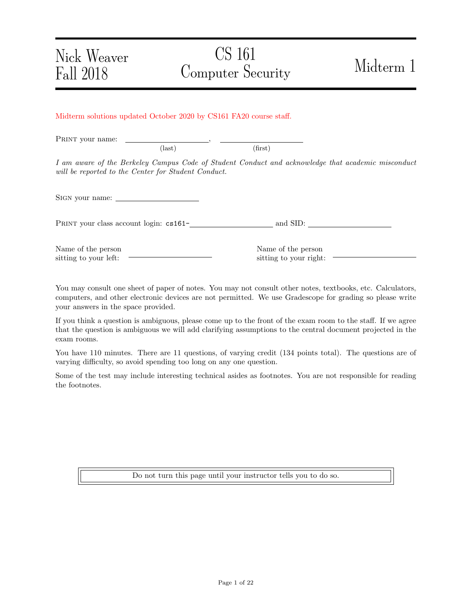## CS 161 Computer Security Midterm 1

Midterm solutions updated October 2020 by CS161 FA20 course staff.

PRINT your name:  $\text{(last)}\tag{first}$ 

I am aware of the Berkeley Campus Code of Student Conduct and acknowledge that academic misconduct will be reported to the Center for Student Conduct.

SIGN your name:

PRINT your class account login: cs161-<br>
<u>example and SID:</u>

Name of the person sitting to your left:

Name of the person sitting to your right:

You may consult one sheet of paper of notes. You may not consult other notes, textbooks, etc. Calculators, computers, and other electronic devices are not permitted. We use Gradescope for grading so please write your answers in the space provided.

If you think a question is ambiguous, please come up to the front of the exam room to the staff. If we agree that the question is ambiguous we will add clarifying assumptions to the central document projected in the exam rooms.

You have 110 minutes. There are 11 questions, of varying credit (134 points total). The questions are of varying difficulty, so avoid spending too long on any one question.

Some of the test may include interesting technical asides as footnotes. You are not responsible for reading the footnotes.

Do not turn this page until your instructor tells you to do so.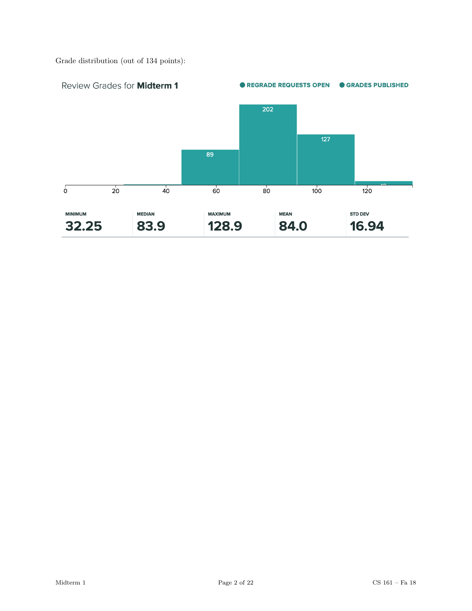Grade distribution (out of 134 points):

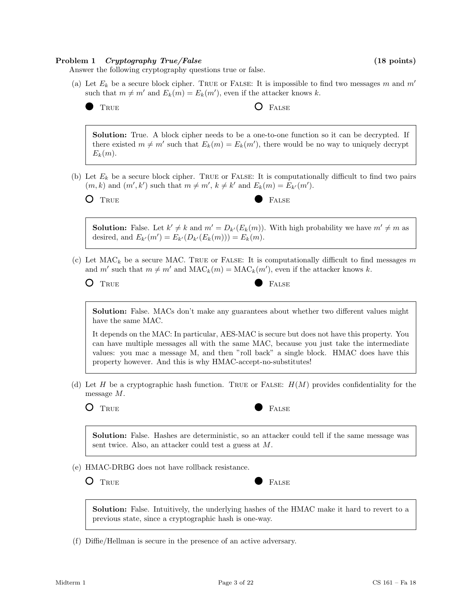#### Problem 1 Cryptography True/False (18 points) (18 points)

Answer the following cryptography questions true or false.

- (a) Let  $E_k$  be a secure block cipher. TRUE or FALSE: It is impossible to find two messages m and m' such that  $m \neq m'$  and  $E_k(m) = E_k(m')$ , even if the attacker knows k.
	-

TRUE **O** FALSE

Solution: True. A block cipher needs to be a one-to-one function so it can be decrypted. If there existed  $m \neq m'$  such that  $E_k(m) = E_k(m')$ , there would be no way to uniquely decrypt  $E_k(m)$ .

(b) Let  $E_k$  be a secure block cipher. TRUE or FALSE: It is computationally difficult to find two pairs  $(m, k)$  and  $(m', k')$  such that  $m \neq m'$ ,  $k \neq k'$  and  $E_k(m) = E_{k'}(m')$ .

O TRUE **FALSE** 

**Solution:** False. Let  $k' \neq k$  and  $m' = D_{k'}(E_k(m))$ . With high probability we have  $m' \neq m$  as desired, and  $E_{k'}(m') = E_{k'}(D_{k'}(E_k(m))) = E_k(m)$ .

(c) Let  $MAC_k$  be a secure MAC. TRUE or FALSE: It is computationally difficult to find messages m and m' such that  $m \neq m'$  and  $\text{MAC}_k(m) = \text{MAC}_k(m')$ , even if the attacker knows k.

| ۰,<br>$\frac{1}{2}$ | ×<br>٧ |
|---------------------|--------|
|                     |        |

| FALSE |
|-------|
|       |

Solution: False. MACs don't make any guarantees about whether two different values might have the same MAC.

It depends on the MAC: In particular, AES-MAC is secure but does not have this property. You can have multiple messages all with the same MAC, because you just take the intermediate values: you mac a message M, and then "roll back" a single block. HMAC does have this property however. And this is why HMAC-accept-no-substitutes!

(d) Let H be a cryptographic hash function. TRUE or FALSE:  $H(M)$  provides confidentiality for the message M.



Solution: False. Hashes are deterministic, so an attacker could tell if the same message was sent twice. Also, an attacker could test a guess at M.

- (e) HMAC-DRBG does not have rollback resistance.
	- O TRUE RALSE

Solution: False. Intuitively, the underlying hashes of the HMAC make it hard to revert to a previous state, since a cryptographic hash is one-way.

(f) Diffie/Hellman is secure in the presence of an active adversary.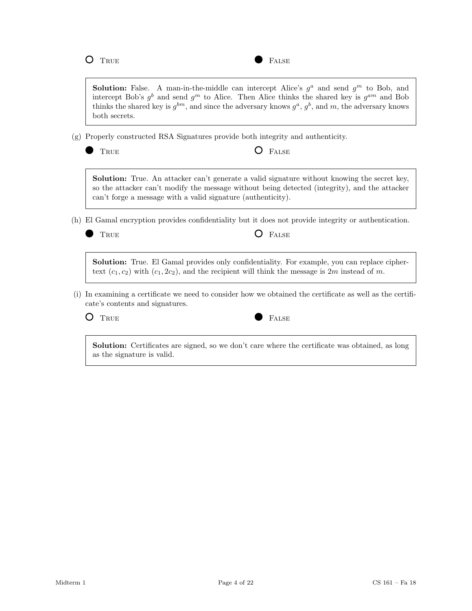**Solution:** False. A man-in-the-middle can intercept Alice's  $g^a$  and send  $g^m$  to Bob, and intercept Bob's  $g^b$  and send  $g^m$  to Alice. Then Alice thinks the shared key is  $g^{am}$  and Bob thinks the shared key is  $g^{bm}$ , and since the adversary knows  $g^a$ ,  $g^b$ , and m, the adversary knows both secrets.

(g) Properly constructed RSA Signatures provide both integrity and authenticity.

|  | I |
|--|---|
|  |   |
|  |   |
|  |   |
|  |   |
|  |   |
|  |   |
|  |   |

 $O$  FALSE

Solution: True. An attacker can't generate a valid signature without knowing the secret key, so the attacker can't modify the message without being detected (integrity), and the attacker can't forge a message with a valid signature (authenticity).

(h) El Gamal encryption provides confidentiality but it does not provide integrity or authentication.

True False

Solution: True. El Gamal provides only confidentiality. For example, you can replace ciphertext  $(c_1, c_2)$  with  $(c_1, 2c_2)$ , and the recipient will think the message is 2m instead of m.

(i) In examining a certificate we need to consider how we obtained the certificate as well as the certificate's contents and signatures.



Solution: Certificates are signed, so we don't care where the certificate was obtained, as long as the signature is valid.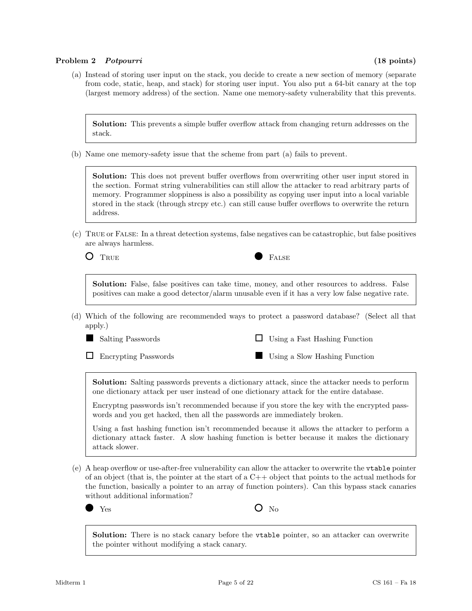## Problem 2 Potpourri (18 points)

(a) Instead of storing user input on the stack, you decide to create a new section of memory (separate from code, static, heap, and stack) for storing user input. You also put a 64-bit canary at the top (largest memory address) of the section. Name one memory-safety vulnerability that this prevents.

Solution: This prevents a simple buffer overflow attack from changing return addresses on the stack.

(b) Name one memory-safety issue that the scheme from part (a) fails to prevent.

Solution: This does not prevent buffer overflows from overwriting other user input stored in the section. Format string vulnerabilities can still allow the attacker to read arbitrary parts of memory. Programmer sloppiness is also a possibility as copying user input into a local variable stored in the stack (through strcpy etc.) can still cause buffer overflows to overwrite the return address.

(c) True or False: In a threat detection systems, false negatives can be catastrophic, but false positives are always harmless.

TRUE **FALSE** 

| Solution: False, false positives can take time, money, and other resources to address. False     |  |  |  |  |  |  |  |
|--------------------------------------------------------------------------------------------------|--|--|--|--|--|--|--|
| positives can make a good detector/alarm unusable even if it has a very low false negative rate. |  |  |  |  |  |  |  |

(d) Which of the following are recommended ways to protect a password database? (Select all that apply.)



 $\Box$  Using a Fast Hashing Function

Encrypting Passwords

Using a Slow Hashing Function

Solution: Salting passwords prevents a dictionary attack, since the attacker needs to perform one dictionary attack per user instead of one dictionary attack for the entire database.

Encryptng passwords isn't recommended because if you store the key with the encrypted passwords and you get hacked, then all the passwords are immediately broken.

Using a fast hashing function isn't recommended because it allows the attacker to perform a dictionary attack faster. A slow hashing function is better because it makes the dictionary attack slower.

(e) A heap overflow or use-after-free vulnerability can allow the attacker to overwrite the vtable pointer of an object (that is, the pointer at the start of a  $C++$  object that points to the actual methods for the function, basically a pointer to an array of function pointers). Can this bypass stack canaries without additional information?

 $Y_{\text{es}}$   $\qquad \qquad \mathbf{O} \quad \text{No}$ 

Solution: There is no stack canary before the vtable pointer, so an attacker can overwrite the pointer without modifying a stack canary.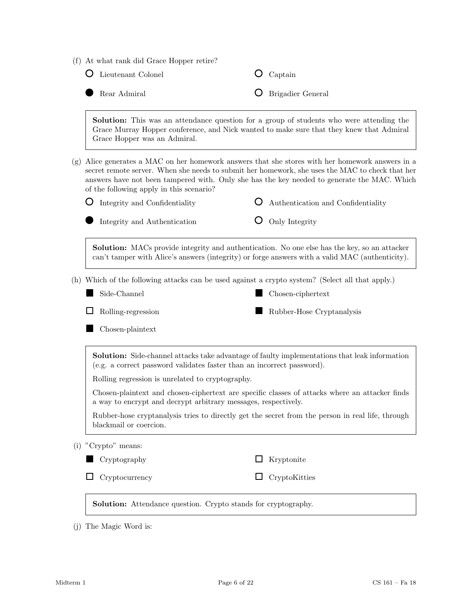|  |  |  |  |  |  | (f) At what rank did Grace Hopper retire? |  |
|--|--|--|--|--|--|-------------------------------------------|--|
|--|--|--|--|--|--|-------------------------------------------|--|

|     | Lieutenant Colonel                                                                                                                                                                                                                                                                                                                         |   | Captain                            |
|-----|--------------------------------------------------------------------------------------------------------------------------------------------------------------------------------------------------------------------------------------------------------------------------------------------------------------------------------------------|---|------------------------------------|
|     | Rear Admiral                                                                                                                                                                                                                                                                                                                               |   | Brigadier General                  |
|     | <b>Solution:</b> This was an attendance question for a group of students who were attending the<br>Grace Murray Hopper conference, and Nick wanted to make sure that they knew that Admiral<br>Grace Hopper was an Admiral.                                                                                                                |   |                                    |
| (g) | Alice generates a MAC on her homework answers that she stores with her homework answers in a<br>secret remote server. When she needs to submit her homework, she uses the MAC to check that her<br>answers have not been tampered with. Only she has the key needed to generate the MAC. Which<br>of the following apply in this scenario? |   |                                    |
|     | Integrity and Confidentiality                                                                                                                                                                                                                                                                                                              | Ő | Authentication and Confidentiality |
|     | Integrity and Authentication                                                                                                                                                                                                                                                                                                               |   | Only Integrity                     |
|     | <b>Solution:</b> MACs provide integrity and authentication. No one else has the key, so an attacker<br>can't tamper with Alice's answers (integrity) or forge answers with a valid MAC (authenticity).                                                                                                                                     |   |                                    |
|     | (h) Which of the following attacks can be used against a crypto system? (Select all that apply.)                                                                                                                                                                                                                                           |   |                                    |
|     | Side-Channel                                                                                                                                                                                                                                                                                                                               |   | Chosen-ciphertext                  |
|     | Rolling-regression                                                                                                                                                                                                                                                                                                                         |   | Rubber-Hose Cryptanalysis          |
|     | Chosen-plaintext                                                                                                                                                                                                                                                                                                                           |   |                                    |
|     | <b>Solution:</b> Side-channel attacks take advantage of faulty implementations that leak information<br>(e.g. a correct password validates faster than an incorrect password).                                                                                                                                                             |   |                                    |
|     | Rolling regression is unrelated to cryptography.                                                                                                                                                                                                                                                                                           |   |                                    |
|     | Chosen-plaintext and chosen-ciphertext are specific classes of attacks where an attacker finds<br>a way to encrypt and decrypt arbitrary messages, respectively.                                                                                                                                                                           |   |                                    |
|     | Rubber-hose cryptanalysis tries to directly get the secret from the person in real life, through<br>blackmail or coercion.                                                                                                                                                                                                                 |   |                                    |
|     | (i) "Crypto" means:                                                                                                                                                                                                                                                                                                                        |   |                                    |
|     | Cryptography                                                                                                                                                                                                                                                                                                                               | ப | Kryptonite                         |
|     |                                                                                                                                                                                                                                                                                                                                            |   |                                    |

(j) The Magic Word is: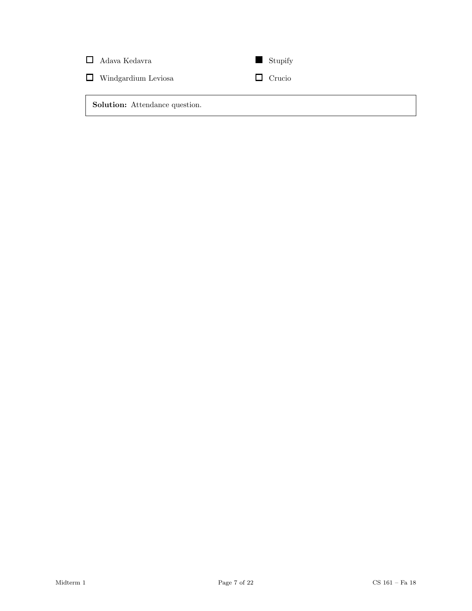| $\Box$ Adava Kedavra                  | $\blacksquare$ Stupify |
|---------------------------------------|------------------------|
| $\Box$ Windgardium Leviosa            | $\Box$ Crucio          |
| <b>Solution:</b> Attendance question. |                        |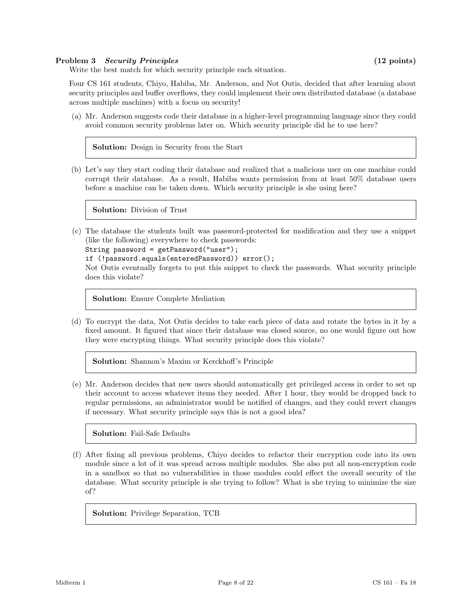## Problem 3 Security Principles (12 points)

Write the best match for which security principle each situation.

Four CS 161 students, Chiyo, Habiba, Mr. Anderson, and Not Outis, decided that after learning about security principles and buffer overflows, they could implement their own distributed database (a database across multiple machines) with a focus on security!

(a) Mr. Anderson suggests code their database in a higher-level programming language since they could avoid common security problems later on. Which security principle did he to use here?

Solution: Design in Security from the Start

(b) Let's say they start coding their database and realized that a malicious user on one machine could corrupt their database. As a result, Habiba wants permission from at least 50% database users before a machine can be taken down. Which security principle is she using here?

Solution: Division of Trust

(c) The database the students built was password-protected for modification and they use a snippet (like the following) everywhere to check passwords:

```
String password = getPassword("user");
```

```
if (!password.equals(enteredPassword)) error();
```
Not Outis eventually forgets to put this snippet to check the passwords. What security principle does this violate?

Solution: Ensure Complete Mediation

(d) To encrypt the data, Not Outis decides to take each piece of data and rotate the bytes in it by a fixed amount. It figured that since their database was closed source, no one would figure out how they were encrypting things. What security principle does this violate?

Solution: Shannon's Maxim or Kerckhoff's Principle

(e) Mr. Anderson decides that new users should automatically get privileged access in order to set up their account to access whatever items they needed. After 1 hour, they would be dropped back to regular permissions, an administrator would be notified of changes, and they could revert changes if necessary. What security principle says this is not a good idea?

Solution: Fail-Safe Defaults

(f) After fixing all previous problems, Chiyo decides to refactor their encryption code into its own module since a lot of it was spread across multiple modules. She also put all non-encryption code in a sandbox so that no vulnerabilities in those modules could effect the overall security of the database. What security principle is she trying to follow? What is she trying to minimize the size of?

Solution: Privilege Separation, TCB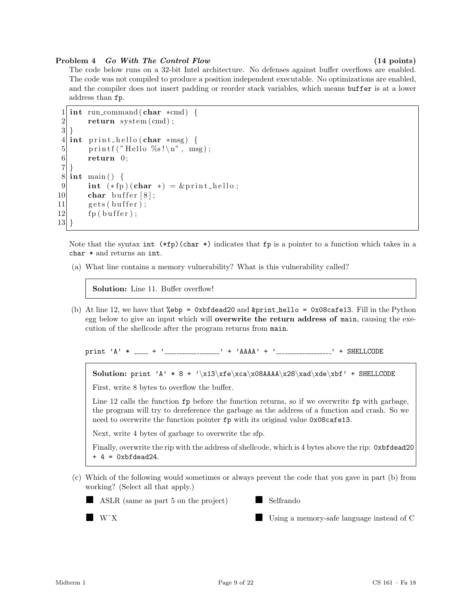## Problem 4 Go With The Control Flow (14 points)

The code below runs on a 32-bit Intel architecture. No defenses against buffer overflows are enabled. The code was not compiled to produce a position independent executable. No optimizations are enabled, and the compiler does not insert padding or reorder stack variables, which means buffer is at a lower address than fp.

```
1 int run_command (char *cmd) {
2 return system (cmd);
3 }
4 int print_hello (char *msg) {
5 printf ("Hello %s!\n", msg);
6 return 0;
7}
8 \mid \text{int } \text{main}() \mid9 int (*fp)(char *) = &print_hello;
10 char buffer [8];
11 gets (buffer);
12 fp ( buffer);
13 }
```
Note that the syntax int  $(*fp)(char *)$  indicates that fp is a pointer to a function which takes in a char \* and returns an int.

(a) What line contains a memory vulnerability? What is this vulnerability called?

Solution: Line 11. Buffer overflow!

(b) At line 12, we have that %ebp =  $0xb4 = 0x0$  and  $kprint$ -hello =  $0x08$ cafe13. Fill in the Python egg below to give an input which will overwrite the return address of main, causing the execution of the shellcode after the program returns from main.

print 'A' \*  $_{---}$  + ' $_{---}$  '  $_{---}$ ' + 'AAAA' + ' $_{---}$  ' + SHELLCODE

Solution: print 'A' \* 8 + '\x13\xfe\xca\x08AAAA\x28\xad\xde\xbf' + SHELLCODE

First, write 8 bytes to overflow the buffer.

Line 12 calls the function  $\mathbf{fp}$  before the function returns, so if we overwrite  $\mathbf{fp}$  with garbage, the program will try to dereference the garbage as the address of a function and crash. So we need to overwrite the function pointer fp with its original value 0x08cafe13.

Next, write 4 bytes of garbage to overwrite the sfp.

Finally, overwrite the rip with the address of shellcode, which is 4 bytes above the rip: 0xbfdead20  $+ 4 = 0$ xbfdead24.

(c) Which of the following would sometimes or always prevent the code that you gave in part (b) from working? (Select all that apply.)

ASLR (same as part 5 on the project)

a a shekara Selfrando

■ W^X

Using a memory-safe language instead of C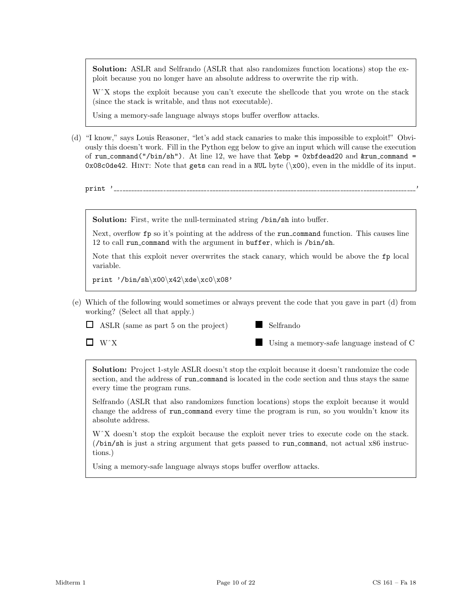Solution: ASLR and Selfrando (ASLR that also randomizes function locations) stop the exploit because you no longer have an absolute address to overwrite the rip with.

WˆX stops the exploit because you can't execute the shellcode that you wrote on the stack (since the stack is writable, and thus not executable).

Using a memory-safe language always stops buffer overflow attacks.

(d) "I know," says Louis Reasoner, "let's add stack canaries to make this impossible to exploit!" Obviously this doesn't work. Fill in the Python egg below to give an input which will cause the execution of run\_command("/bin/sh"). At line 12, we have that %ebp = 0xbfdead20 and  $&run_{\text{command}}$  = 0x08c0de42. Hint: Note that gets can read in a NUL byte (\x00), even in the middle of its input.

print '\_\_\_\_\_\_\_\_\_\_\_\_\_\_\_\_\_\_\_

Solution: First, write the null-terminated string /bin/sh into buffer.

Next, overflow  $fp$  so it's pointing at the address of the run command function. This causes line 12 to call run command with the argument in buffer, which is /bin/sh.

Note that this exploit never overwrites the stack canary, which would be above the fp local variable.

print '/bin/sh\x00\x42\xde\xc0\x08'

(e) Which of the following would sometimes or always prevent the code that you gave in part (d) from working? (Select all that apply.)

 $\Box$  ASLR (same as part 5 on the project)



 $\Box$  W^X

Using a memory-safe language instead of C

Solution: Project 1-style ASLR doesn't stop the exploit because it doesn't randomize the code section, and the address of run command is located in the code section and thus stays the same every time the program runs.

Selfrando (ASLR that also randomizes function locations) stops the exploit because it would change the address of run command every time the program is run, so you wouldn't know its absolute address.

WˆX doesn't stop the exploit because the exploit never tries to execute code on the stack. (/bin/sh is just a string argument that gets passed to run command, not actual x86 instructions.)

Using a memory-safe language always stops buffer overflow attacks.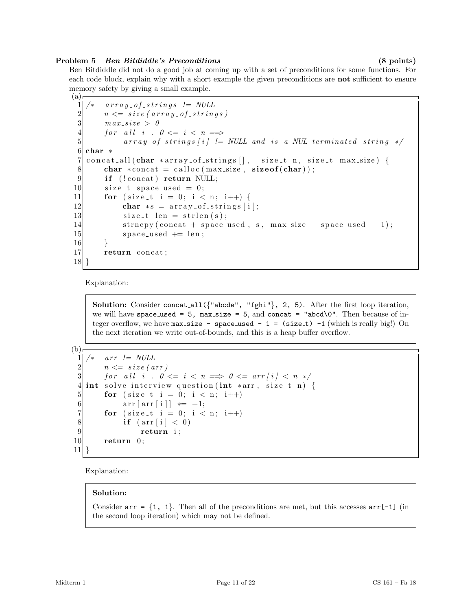## Problem 5 Ben Bitdiddle's Preconditions (8 points)

Ben Bitdiddle did not do a good job at coming up with a set of preconditions for some functions. For each code block, explain why with a short example the given preconditions are **not** sufficient to ensure memory safety by giving a small example.

```
(a)\begin{array}{cc} 1 \ 1 \ 2 \end{array} array_of_strings != NULL<br>\begin{array}{cc} 2 \ 1 \end{array} \begin{array}{cc} 2 \ 1 \end{array} \begin{array}{cc} 3 \ 1 \ 1 \end{array}\begin{array}{ll} 2 & n \leq = \: size \: ( \: array \: \textit{of} \: \textit{string} \: s \: ) \\ 3 & max \: size \: > \: 0 \end{array}max\_size > 04 for all i. 0 \leq i \leq n \implies5 array_of_strings [i] != NULL and is a NUL-terminated string */6 char *7 concat all (char *array of strings \left[ \right], size t n, size t max size) {
 8 char \ast concat = calloc (max_size, size of (char));
 9 if (!concat) return NULL;
10 size_t space_used = 0;
11 for ( size t i = 0; i < n; i++) {
12 char \ast s = \arctan\left[ -\frac{1}{2} \right];
13 size_t len = strlen(s);
14 strncpy (concat + space_used, s, max_size - space_used - 1);
15 space_used + len;
16 }
17 return concat;
18 }
```
Explanation:

Solution: Consider concat\_all( ${^\prime}$ abcde", "fghi"}, 2, 5). After the first loop iteration, we will have space\_used = 5, max\_size = 5, and concat = "abcd\0". Then because of integer overflow, we have  $max_size - space-used - 1 = (size_t) -1$  (which is really big!) On the next iteration we write out-of-bounds, and this is a heap buffer overflow.

 $(b)$ 

```
\begin{array}{c} 1 \ 2 \end{array} /* arr != NULL<br>\begin{array}{c} n \leq 0 \end{array} size (a
         n \leq s \, \textit{ize} \, \textit{arr} \, \textit{)}3 for all i. 0 \le i \le n \implies 0 \le \arcsin i \le n \ne n4 \mid \text{int} \text{ solve} interview question (int *arr, size_t n) {
5 for ( size_t i = 0; i < n; i++)
6 \text{arr} [\arr{i}] \neq -1;7 for ( size_t i = 0; i < n; i++)
8 if \left(\arctan \frac{1}{2}\right) < 09 return i;
10 return 0;
11}
```
Explanation:

## Solution:

Consider  $arr = \{1, 1\}$ . Then all of the preconditions are met, but this accesses  $arr[-1]$  (in the second loop iteration) which may not be defined.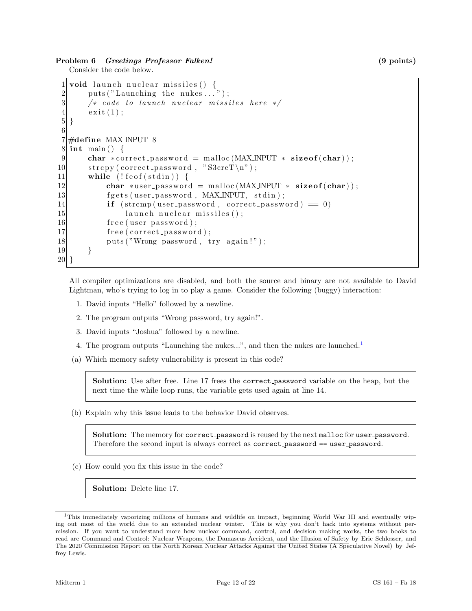## Problem 6 Greetings Professor Falken! (9 points)

Consider the code below.

```
1 void launch nuclear missiles () {
2 \quad \text{puts} (' \text{Launching the nukes} ... );
3 \mid /* code to launch nuclear missiles here */
4 \quad \text{exit}(1);
5|}
6
7 \neqdefine MAX_INPUT 8
8 \mid \text{int } \text{main}() \mid9 char * correct_password = malloc (MAX_INPUT * size of (char));
10 \vert strcpy (correct_password, "S3creT\n");
11 while (!f e of (st \text{dim}))12 char *user_password = malloc(MAX_INPUT * size of (char));
13 fgets (user_password, MAX_INPUT, stdin);
14 if (strcmp(user_password, correct_password) == 0)
15 launch_nuclear_missiles();
16 free (user_password);
17 free (correct_password);
18 puts ("Wrong password, try again!");
19 }
20<sup>1</sup>
```
All compiler optimizations are disabled, and both the source and binary are not available to David Lightman, who's trying to log in to play a game. Consider the following (buggy) interaction:

- 1. David inputs "Hello" followed by a newline.
- 2. The program outputs "Wrong password, try again!".
- 3. David inputs "Joshua" followed by a newline.
- 4. The program outputs "Launching the nukes...", and then the nukes are launched.<sup>[1](#page-11-0)</sup>
- (a) Which memory safety vulnerability is present in this code?

Solution: Use after free. Line 17 frees the correct\_password variable on the heap, but the next time the while loop runs, the variable gets used again at line 14.

(b) Explain why this issue leads to the behavior David observes.

Solution: The memory for correct\_password is reused by the next malloc for user\_password. Therefore the second input is always correct as correct password == user password.

(c) How could you fix this issue in the code?

Solution: Delete line 17.

<span id="page-11-0"></span><sup>1</sup>This immediately vaporizing millions of humans and wildlife on impact, beginning World War III and eventually wiping out most of the world due to an extended nuclear winter. This is why you don't hack into systems without permission. If you want to understand more how nuclear command, control, and decision making works, the two books to read are Command and Control: Nuclear Weapons, the Damascus Accident, and the Illusion of Safety by Eric Schlosser, and The 2020 Commission Report on the North Korean Nuclear Attacks Against the United States (A Speculative Novel) by Jeffrey Lewis.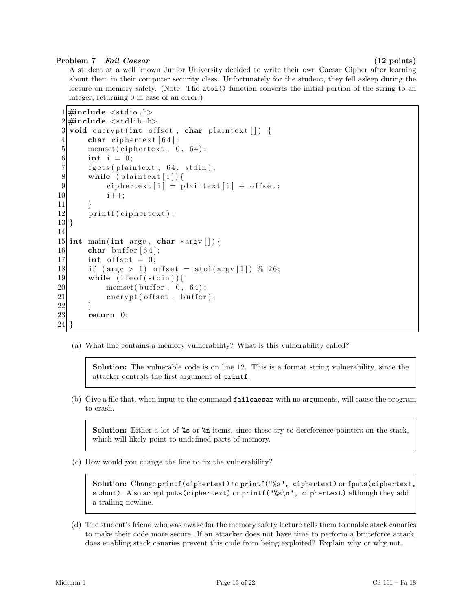## Problem 7 Fail Caesar (12 points)

A student at a well known Junior University decided to write their own Caesar Cipher after learning about them in their computer security class. Unfortunately for the student, they fell asleep during the lecture on memory safety. (Note: The atoi() function converts the initial portion of the string to an integer, returning 0 in case of an error.)

```
1 \neqinclude \ltstdio.h>
2 \#include \ltst dlib.h>
 3 void encrypt (int offset, char plaintext []) {
 4 char ciphertext [64];
 5 memset ( ciphertext, 0, 64 );
6 int i = 0;
7 fgets (plaintext, 64, stdin);
8 while (plaintext [i]) {
9 ciphertext [i] = plaintext [i] + offset;
10 i ++;
11 }
12 printf (ciphertext);
|13|14
15 int main (int argc, char *argy []) {
16 char buffer [64];
17 int offset = 0;
18 if (\text{arg } c > 1) offset = atoi(\text{arg } v \mid 1) % 26;
19 while (!f e of (st din))20 memset ( buffer, 0, 64 );
21 encrypt ( offset, buffer);
22 }
23 return 0;
24 }
```
(a) What line contains a memory vulnerability? What is this vulnerability called?

Solution: The vulnerable code is on line 12. This is a format string vulnerability, since the attacker controls the first argument of printf.

(b) Give a file that, when input to the command failcaesar with no arguments, will cause the program to crash.

**Solution:** Either a lot of  $\%$  or  $\%$  items, since these try to dereference pointers on the stack, which will likely point to undefined parts of memory.

(c) How would you change the line to fix the vulnerability?

Solution: Change printf(ciphertext) to printf("%s", ciphertext) or fputs(ciphertext, stdout). Also accept puts (ciphertext) or printf  $("\&s\n"$ , ciphertext) although they add a trailing newline.

(d) The student's friend who was awake for the memory safety lecture tells them to enable stack canaries to make their code more secure. If an attacker does not have time to perform a bruteforce attack, does enabling stack canaries prevent this code from being exploited? Explain why or why not.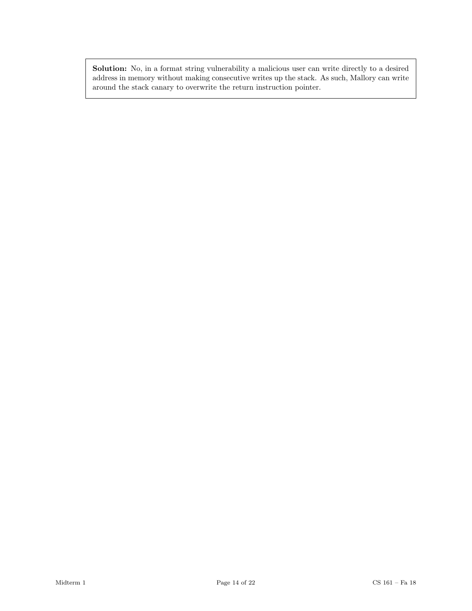Solution: No, in a format string vulnerability a malicious user can write directly to a desired address in memory without making consecutive writes up the stack. As such, Mallory can write around the stack canary to overwrite the return instruction pointer.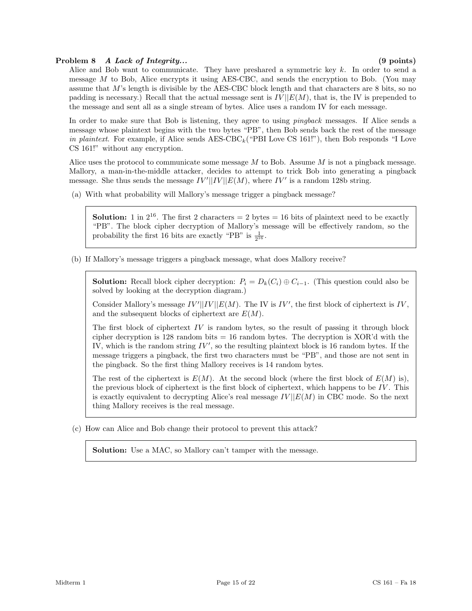## Problem 8 A Lack of Integrity... (9 points)

Alice and Bob want to communicate. They have preshared a symmetric key  $k$ . In order to send a message M to Bob, Alice encrypts it using AES-CBC, and sends the encryption to Bob. (You may assume that M's length is divisible by the AES-CBC block length and that characters are 8 bits, so no padding is necessary.) Recall that the actual message sent is  $IV||E(M)$ , that is, the IV is prepended to the message and sent all as a single stream of bytes. Alice uses a random IV for each message.

In order to make sure that Bob is listening, they agree to using *pingback* messages. If Alice sends a message whose plaintext begins with the two bytes "PB", then Bob sends back the rest of the message in plaintext. For example, if Alice sends  $\text{AES-CBC}_k$  ("PBI Love CS 161!"), then Bob responds "I Love CS 161!" without any encryption.

Alice uses the protocol to communicate some message  $M$  to Bob. Assume  $M$  is not a pingback message. Mallory, a man-in-the-middle attacker, decides to attempt to trick Bob into generating a pingback message. She thus sends the message  $IV'||IV||E(M)$ , where  $IV'$  is a random 128b string.

(a) With what probability will Mallory's message trigger a pingback message?

**Solution:** 1 in  $2^{16}$ . The first 2 characters = 2 bytes = 16 bits of plaintext need to be exactly "PB". The block cipher decryption of Mallory's message will be effectively random, so the probability the first 16 bits are exactly "PB" is  $\frac{1}{2^{16}}$ .

(b) If Mallory's message triggers a pingback message, what does Mallory receive?

**Solution:** Recall block cipher decryption:  $P_i = D_k(C_i) \oplus C_{i-1}$ . (This question could also be solved by looking at the decryption diagram.)

Consider Mallory's message  $IV'||IV||E(M)$ . The IV is  $IV'$ , the first block of ciphertext is IV, and the subsequent blocks of ciphertext are  $E(M)$ .

The first block of ciphertext  $IV$  is random bytes, so the result of passing it through block cipher decryption is  $128$  random bits  $= 16$  random bytes. The decryption is XOR'd with the IV, which is the random string  $IV'$ , so the resulting plaintext block is 16 random bytes. If the message triggers a pingback, the first two characters must be "PB", and those are not sent in the pingback. So the first thing Mallory receives is 14 random bytes.

The rest of the ciphertext is  $E(M)$ . At the second block (where the first block of  $E(M)$  is), the previous block of ciphertext is the first block of ciphertext, which happens to be  $IV$ . This is exactly equivalent to decrypting Alice's real message  $IV||E(M)$  in CBC mode. So the next thing Mallory receives is the real message.

(c) How can Alice and Bob change their protocol to prevent this attack?

Solution: Use a MAC, so Mallory can't tamper with the message.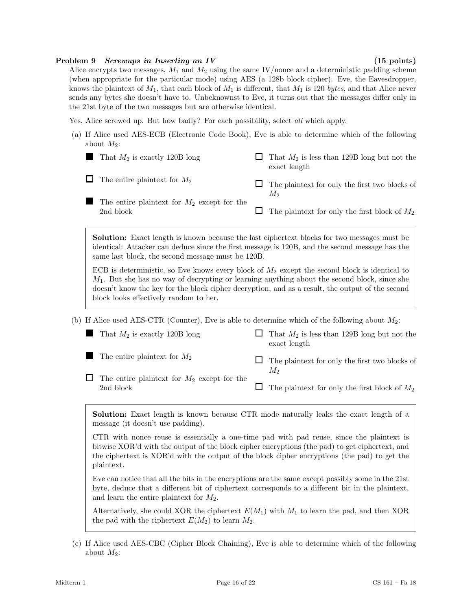#### Problem 9 Screwups in Inserting an IV (15 points)

Alice encrypts two messages,  $M_1$  and  $M_2$  using the same IV/nonce and a deterministic padding scheme (when appropriate for the particular mode) using AES (a 128b block cipher). Eve, the Eavesdropper, knows the plaintext of  $M_1$ , that each block of  $M_1$  is different, that  $M_1$  is 120 bytes, and that Alice never sends any bytes she doesn't have to. Unbeknownst to Eve, it turns out that the messages differ only in the 21st byte of the two messages but are otherwise identical.

Yes, Alice screwed up. But how badly? For each possibility, select all which apply.

(a) If Alice used AES-ECB (Electronic Code Book), Eve is able to determine which of the following about  $M_2$ :

|        | That $M_2$ is exactly 120B long                            |     | That $M_2$ is less than 129B long but not the<br>exact length |
|--------|------------------------------------------------------------|-----|---------------------------------------------------------------|
| $\Box$ | The entire plaintext for $M_2$                             | l I | The plaintext for only the first two blocks of<br>М,          |
|        | The entire plaintext for $M_2$ except for the<br>2nd block |     | $\Box$ The plaintext for only the first block of $M_2$        |

Solution: Exact length is known because the last ciphertext blocks for two messages must be identical: Attacker can deduce since the first message is 120B, and the second message has the same last block, the second message must be 120B.

ECB is deterministic, so Eve knows every block of  $M_2$  except the second block is identical to  $M_1$ . But she has no way of decrypting or learning anything about the second block, since she doesn't know the key for the block cipher decryption, and as a result, the output of the second block looks effectively random to her.

(b) If Alice used AES-CTR (Counter), Eve is able to determine which of the following about  $M_2$ :

| That $M_2$ is exactly 120B long                            | That $M_2$ is less than 129B long but not the<br>exact length |
|------------------------------------------------------------|---------------------------------------------------------------|
| The entire plaintext for $M_2$                             | The plaintext for only the first two blocks of<br>М2          |
| The entire plaintext for $M_2$ except for the<br>2nd block | The plaintext for only the first block of $M_2$               |

Solution: Exact length is known because CTR mode naturally leaks the exact length of a message (it doesn't use padding).

CTR with nonce reuse is essentially a one-time pad with pad reuse, since the plaintext is bitwise XOR'd with the output of the block cipher encryptions (the pad) to get ciphertext, and the ciphertext is XOR'd with the output of the block cipher encryptions (the pad) to get the plaintext.

Eve can notice that all the bits in the encryptions are the same except possibly some in the 21st byte, deduce that a different bit of ciphertext corresponds to a different bit in the plaintext, and learn the entire plaintext for  $M_2$ .

Alternatively, she could XOR the ciphertext  $E(M_1)$  with  $M_1$  to learn the pad, and then XOR the pad with the ciphertext  $E(M_2)$  to learn  $M_2$ .

(c) If Alice used AES-CBC (Cipher Block Chaining), Eve is able to determine which of the following about  $M_2$ :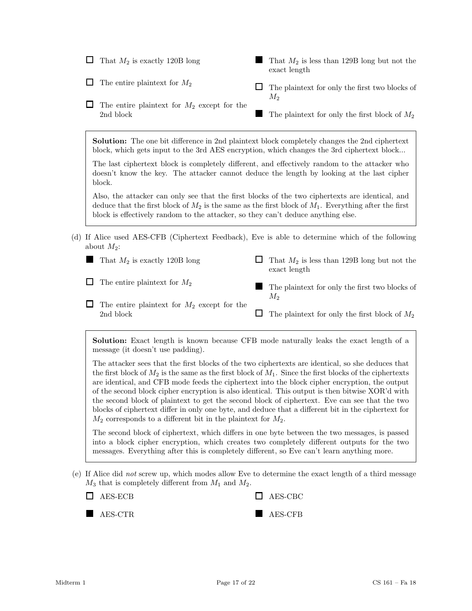| That $M_2$ is exactly 120B long                                                  | That $M_2$ is less than 129B long but not the<br>exact length                                                                                                                                                |
|----------------------------------------------------------------------------------|--------------------------------------------------------------------------------------------------------------------------------------------------------------------------------------------------------------|
| The entire plaintext for $M_2$                                                   | The plaintext for only the first two blocks of<br>$M_2$                                                                                                                                                      |
| The entire plaintext for $M_2$ except for the<br>2nd block                       | The plaintext for only the first block of $M_2$                                                                                                                                                              |
|                                                                                  | <b>Solution:</b> The one bit difference in 2nd plaintext block completely changes the 2nd ciphertext<br>block, which gets input to the 3rd AES encryption, which changes the 3rd ciphertext block            |
| block.                                                                           | The last ciphertext block is completely different, and effectively random to the attacker who<br>doesn't know the key. The attacker cannot deduce the length by looking at the last cipher                   |
| block is effectively random to the attacker, so they can't deduce anything else. | Also, the attacker can only see that the first blocks of the two ciphertexts are identical, and<br>deduce that the first block of $M_2$ is the same as the first block of $M_1$ . Everything after the first |
| about $M_2$ :                                                                    | (d) If Alice used AES-CFB (Ciphertext Feedback), Eve is able to determine which of the following                                                                                                             |
| That $M_2$ is exactly 120B long                                                  | That $M_2$ is less than 129B long but not the<br>exact length                                                                                                                                                |
| The entire plaintext for $M_2$                                                   | $T = 1 + 1 + 1$                                                                                                                                                                                              |

 $\Box$  The entire plaintext for  $M_2$  except for the 2nd block  $M_2$  $\Box$  The plaintext for only the first block of  $M_2$ 

■

The plaintext for only the first two blocks of

Solution: Exact length is known because CFB mode naturally leaks the exact length of a message (it doesn't use padding).

The attacker sees that the first blocks of the two ciphertexts are identical, so she deduces that the first block of  $M_2$  is the same as the first block of  $M_1$ . Since the first blocks of the ciphertexts are identical, and CFB mode feeds the ciphertext into the block cipher encryption, the output of the second block cipher encryption is also identical. This output is then bitwise XOR'd with the second block of plaintext to get the second block of ciphertext. Eve can see that the two blocks of ciphertext differ in only one byte, and deduce that a different bit in the ciphertext for  $M_2$  corresponds to a different bit in the plaintext for  $M_2$ .

The second block of ciphertext, which differs in one byte between the two messages, is passed into a block cipher encryption, which creates two completely different outputs for the two messages. Everything after this is completely different, so Eve can't learn anything more.

(e) If Alice did not screw up, which modes allow Eve to determine the exact length of a third message  $M_3$  that is completely different from  $M_1$  and  $M_2$ .

| $\Box$ AES-ECB | $\Box$ AES-CBC |
|----------------|----------------|
| AES-CTR        | $AES-CFB$      |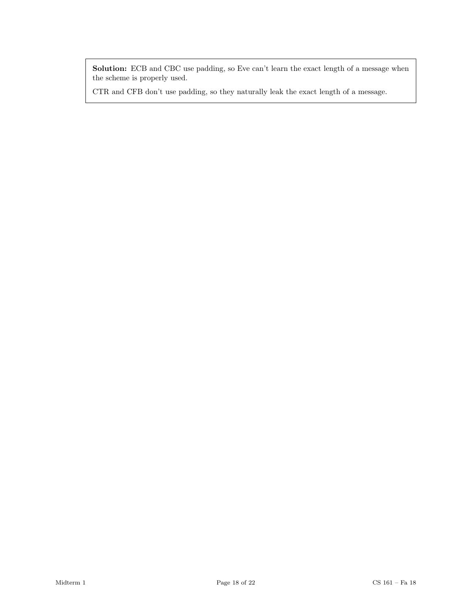Solution: ECB and CBC use padding, so Eve can't learn the exact length of a message when the scheme is properly used.

CTR and CFB don't use padding, so they naturally leak the exact length of a message.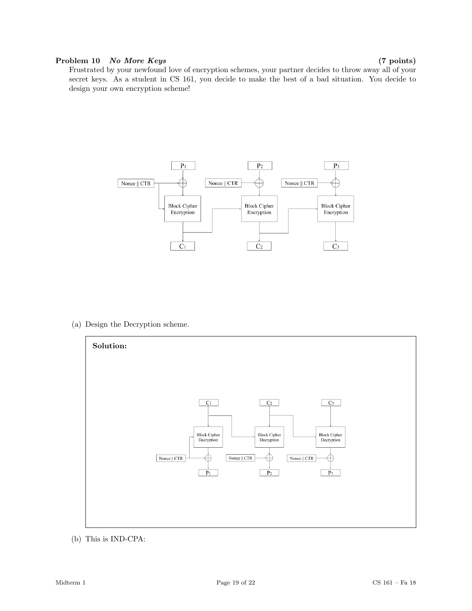## Problem 10 No More Keys (7 points)

Frustrated by your newfound love of encryption schemes, your partner decides to throw away all of your secret keys. As a student in CS 161, you decide to make the best of a bad situation. You decide to design your own encryption scheme!



(a) Design the Decryption scheme.



(b) This is IND-CPA: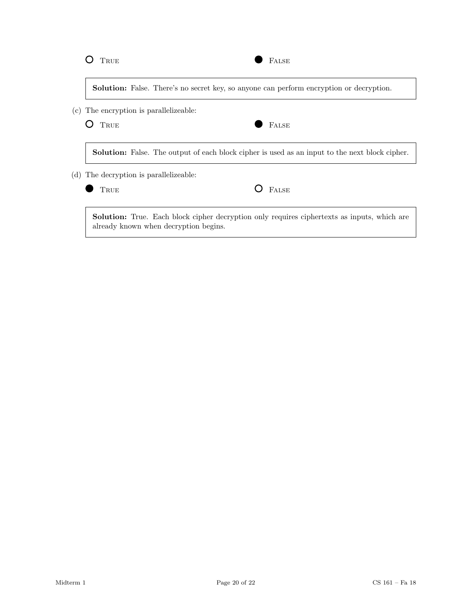| $\sim$ | ×<br>I |
|--------|--------|
|        |        |

| FALSE |
|-------|
|       |

Solution: False. There's no secret key, so anyone can perform encryption or decryption.

(c) The encryption is parallelizeable:

O TRUE STALSE

Solution: False. The output of each block cipher is used as an input to the next block cipher.

(d) The decryption is parallelizeable:

| 'RUE |  |
|------|--|
|      |  |

Solution: True. Each block cipher decryption only requires ciphertexts as inputs, which are already known when decryption begins.

O FALSE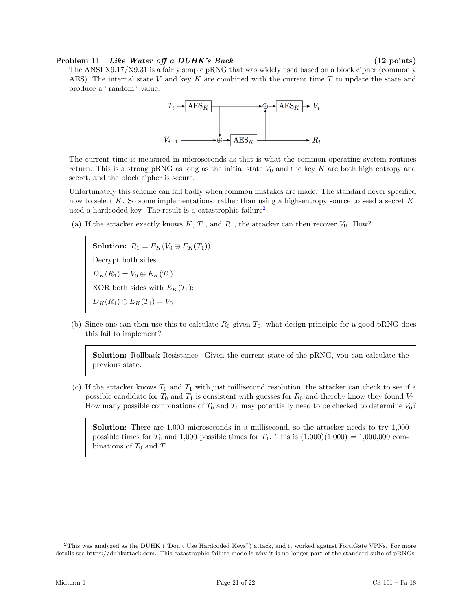#### Problem 11 *Like Water off a DUHK's Back* (12 points)

The ANSI X9.17/X9.31 is a fairly simple pRNG that was widely used based on a block cipher (commonly AES). The internal state V and key K are combined with the current time T to update the state and produce a "random" value.



The current time is measured in microseconds as that is what the common operating system routines return. This is a strong pRNG as long as the initial state  $V_0$  and the key K are both high entropy and secret, and the block cipher is secure.

Unfortunately this scheme can fail badly when common mistakes are made. The standard never specified how to select K. So some implementations, rather than using a high-entropy source to seed a secret K, used a hardcoded key. The result is a catastrophic failure<sup>[2](#page-20-0)</sup>.

(a) If the attacker exactly knows  $K, T_1$ , and  $R_1$ , the attacker can then recover  $V_0$ . How?

Solution:  $R_1 = E_K(V_0 \oplus E_K(T_1))$ Decrypt both sides:  $D_K(R_1) = V_0 \oplus E_K(T_1)$ XOR both sides with  $E_K(T_1)$ :  $D_K(R_1) \oplus E_K(T_1) = V_0$ 

(b) Since one can then use this to calculate  $R_0$  given  $T_0$ , what design principle for a good pRNG does this fail to implement?

Solution: Rollback Resistance. Given the current state of the pRNG, you can calculate the previous state.

(c) If the attacker knows  $T_0$  and  $T_1$  with just millisecond resolution, the attacker can check to see if a possible candidate for  $T_0$  and  $T_1$  is consistent with guesses for  $R_0$  and thereby know they found  $V_0$ . How many possible combinations of  $T_0$  and  $T_1$  may potentially need to be checked to determine  $V_0$ ?

Solution: There are 1,000 microseconds in a millisecond, so the attacker needs to try 1,000 possible times for  $T_0$  and 1,000 possible times for  $T_1$ . This is  $(1,000)(1,000) = 1,000,000$  combinations of  $T_0$  and  $T_1$ .

<span id="page-20-0"></span><sup>2</sup>This was analyzed as the DUHK ("Don't Use Hardcoded Keys") attack, and it worked against FortiGate VPNs. For more details see https://duhkattack.com. This catastrophic failure mode is why it is no longer part of the standard suite of pRNGs.